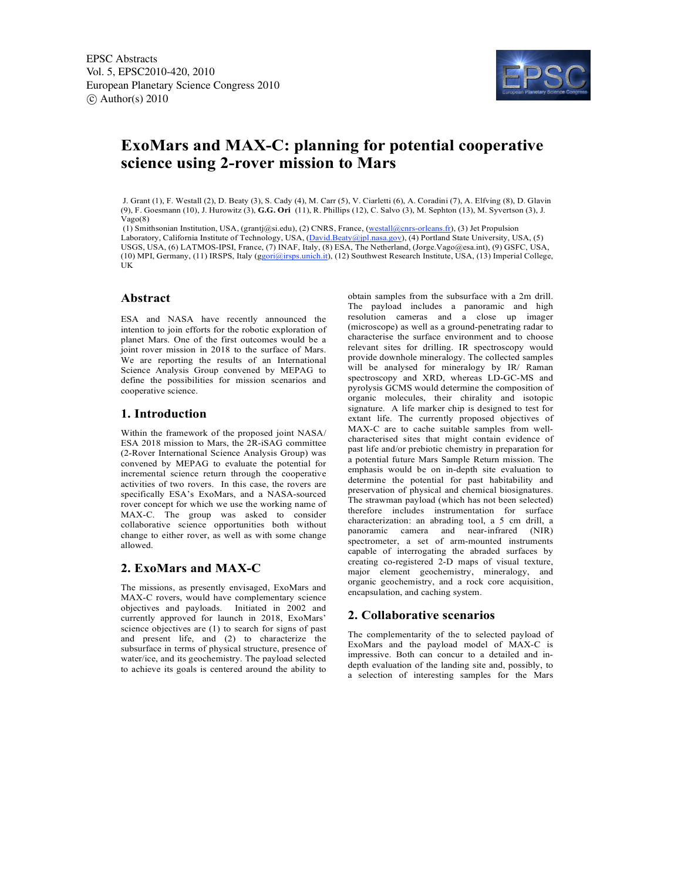

# **ExoMars and MAX-C: planning for potential cooperative science using 2-rover mission to Mars**

 J. Grant (1), F. Westall (2), D. Beaty (3), S. Cady (4), M. Carr (5), V. Ciarletti (6), A. Coradini (7), A. Elfving (8), D. Glavin (9), F. Goesmann (10), J. Hurowitz (3), **G.G. Ori** (11), R. Phillips (12), C. Salvo (3), M. Sephton (13), M. Syvertson (3), J. Vago(8)

 (1) Smithsonian Institution, USA, (grantj@si.edu), (2) CNRS, France, (westall@cnrs-orleans.fr), (3) Jet Propulsion Laboratory, California Institute of Technology, USA, (David.Beaty@jpl.nasa.gov), (4) Portland State University, USA, (5) USGS, USA, (6) LATMOS-IPSI, France, (7) INAF, Italy, (8) ESA, The Netherland, (Jorge.Vago@esa.int), (9) GSFC, USA, (10) MPI, Germany, (11) IRSPS, Italy (ggori@irsps.unich.it), (12) Southwest Research Institute, USA, (13) Imperial College, UK

### **Abstract**

ESA and NASA have recently announced the intention to join efforts for the robotic exploration of planet Mars. One of the first outcomes would be a joint rover mission in 2018 to the surface of Mars. We are reporting the results of an International Science Analysis Group convened by MEPAG to define the possibilities for mission scenarios and cooperative science.

# **1. Introduction**

Within the framework of the proposed joint NASA/ ESA 2018 mission to Mars, the 2R-iSAG committee (2-Rover International Science Analysis Group) was convened by MEPAG to evaluate the potential for incremental science return through the cooperative activities of two rovers. In this case, the rovers are specifically ESA's ExoMars, and a NASA-sourced rover concept for which we use the working name of MAX-C. The group was asked to consider collaborative science opportunities both without change to either rover, as well as with some change allowed.

# **2. ExoMars and MAX-C**

The missions, as presently envisaged, ExoMars and MAX-C rovers, would have complementary science objectives and payloads. Initiated in 2002 and currently approved for launch in 2018, ExoMars' science objectives are (1) to search for signs of past and present life, and (2) to characterize the subsurface in terms of physical structure, presence of water/ice, and its geochemistry. The payload selected to achieve its goals is centered around the ability to

obtain samples from the subsurface with a 2m drill. The payload includes a panoramic and high resolution cameras and a close up imager (microscope) as well as a ground-penetrating radar to characterise the surface environment and to choose relevant sites for drilling. IR spectroscopy would provide downhole mineralogy. The collected samples will be analysed for mineralogy by IR/ Raman spectroscopy and XRD, whereas LD-GC-MS and pyrolysis GCMS would determine the composition of organic molecules, their chirality and isotopic signature. A life marker chip is designed to test for extant life. The currently proposed objectives of MAX-C are to cache suitable samples from wellcharacterised sites that might contain evidence of past life and/or prebiotic chemistry in preparation for a potential future Mars Sample Return mission. The emphasis would be on in-depth site evaluation to determine the potential for past habitability and preservation of physical and chemical biosignatures. The strawman payload (which has not been selected) therefore includes instrumentation for surface characterization: an abrading tool, a 5 cm drill, a panoramic camera and near-infrared (NIR) spectrometer, a set of arm-mounted instruments capable of interrogating the abraded surfaces by creating co-registered 2-D maps of visual texture, major element geochemistry, mineralogy, and organic geochemistry, and a rock core acquisition, encapsulation, and caching system.

### **2. Collaborative scenarios**

The complementarity of the to selected payload of ExoMars and the payload model of MAX-C is impressive. Both can concur to a detailed and indepth evaluation of the landing site and, possibly, to a selection of interesting samples for the Mars